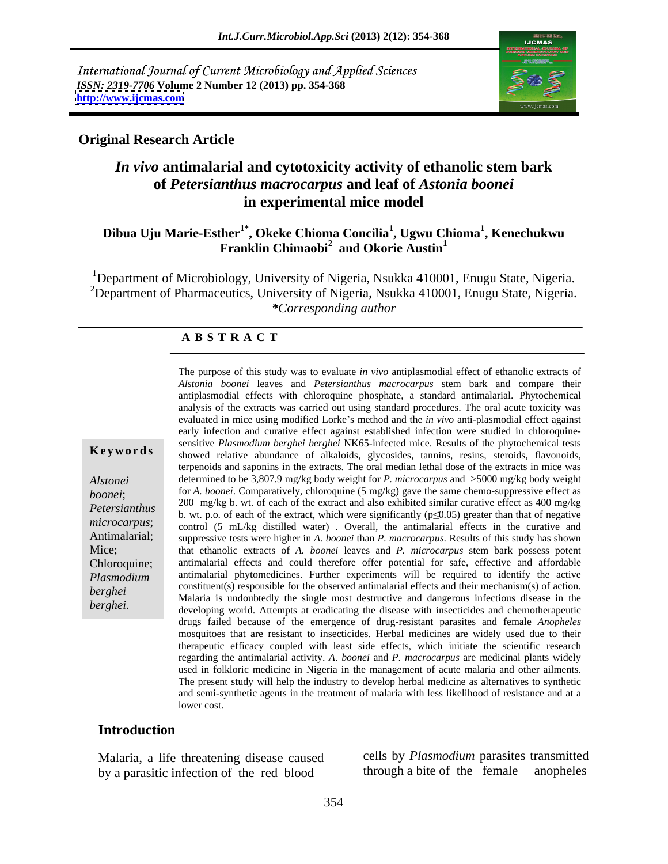International Journal of Current Microbiology and Applied Sciences *ISSN: 2319-7706* **Volume 2 Number 12 (2013) pp. 354-368 <http://www.ijcmas.com>**



### **Original Research Article**

# *In vivo* **antimalarial and cytotoxicity activity of ethanolic stem bark of** *Petersianthus macrocarpus* **and leaf of** *Astonia boonei* **in experimental mice model**

### **Dibua Uju Marie-Esther1\* , Okeke Chioma Concilia1 , Ugwu Chioma<sup>1</sup> , Kenechukwu Franklin Chimaobi<sup>2</sup> and Okorie Austin<sup>1</sup> and Okorie Austin<sup>1</sup>**

<sup>1</sup>Department of Microbiology, University of Nigeria, Nsukka 410001, Enugu State, Nigeria. <sup>2</sup>Department of Pharmaceutics, University of Nigeria, Nsukka 410001, Enugu State, Nigeria. *\*Corresponding author* 

### **A B S T R A C T**

**Keywords** showed relative abundance of alkaloids, glycosides, tannins, resins, steroids, flavonoids, *Alstonei*  determined to be 3,807.9 mg/kg body weight for *P. microcarpus* and >5000 mg/kg body weight *boonei*; for *A. boonei*. Comparatively, chloroquine (5 mg/kg) gave the same chemo-suppressive effect as *Petersianthus* 200 ing/kg b. wt. of each of the extract, and also exhibited similar curative effect as 400 ing/kg<br>b. wt. p.o. of each of the extract, which were significantly (p (0.05) greater than that of negative *microcarpus*; control (5 mL/kg distilled water). Overall, the antimalarial effects in the curative and Antimalarial; suppressive tests were higher in *A. boonei* than *P. macrocarpus*. Results of this study has shown Mice; that ethanolic extracts of *A. boonei* leaves and *P. microcarpus* stem bark possess potent Chloroquine; antimalarial effects and could therefore offer potential for safe, effective and affordable *Plasmodium*  antimalarial phytomedicines. Further experiments will be required to identify the active *berghei* constituent(s) responsible for the observed antimalarial effects and their mechanism(s) of action. The purpose of this study was to evaluate *in vivo* antiplasmodial effect of ethanolic extracts of the extracts of the extracts of antiplasmodial effect with chloroquine phosphate, a standard antimalarial. Phytochemical *Alstonia boonei* leaves and *Petersianthus macrocarpus* stem bark and compare their analysis of the extracts was carried out using standard procedures. The oral acute toxicity was evaluated in mice using modified Lorke's method and the *in vivo* anti-plasmodial effect against early infection and curative effect against established infection were studied in chloroquine sensitive *Plasmodium berghei berghei* NK65-infected mice. Results of the phytochemical tests terpenoids and saponins in the extracts. The oral median lethal dose of the extracts in mice was 200 mg/kg b. wt. of each of the extract and also exhibited similar curative effect as 400 mg/kg Malaria is undoubtedly the single most destructive and dangerous infectious disease in the developing world. Attempts at eradicating the disease with insecticides and chemotherapeutic drugs failed because of the emergence of drug-resistant parasites and female *Anopheles* mosquitoes that are resistant to insecticides. Herbal medicines are widely used due to their therapeutic efficacy coupled with least side effects, which initiate the scientific research regarding the antimalarial activity. *A. boonei* and *P. macrocarpus* are medicinal plants widely used in folkloric medicine in Nigeria in the management of acute malaria and other ailments. The present study will help the industry to develop herbal medicine as alternatives to synthetic and semi-synthetic agents in the treatment of malaria with less likelihood of resistance and at a lower cost.

### **Introduction**

Malaria, a life threatening disease caused cells by *Plasmodium* parasites transmitted<br>by a parasitic infection of the red blood through a bite of the female anopheles by a parasitic infection of the red blood

cells by *Plasmodium* parasites transmitted through a bite of the female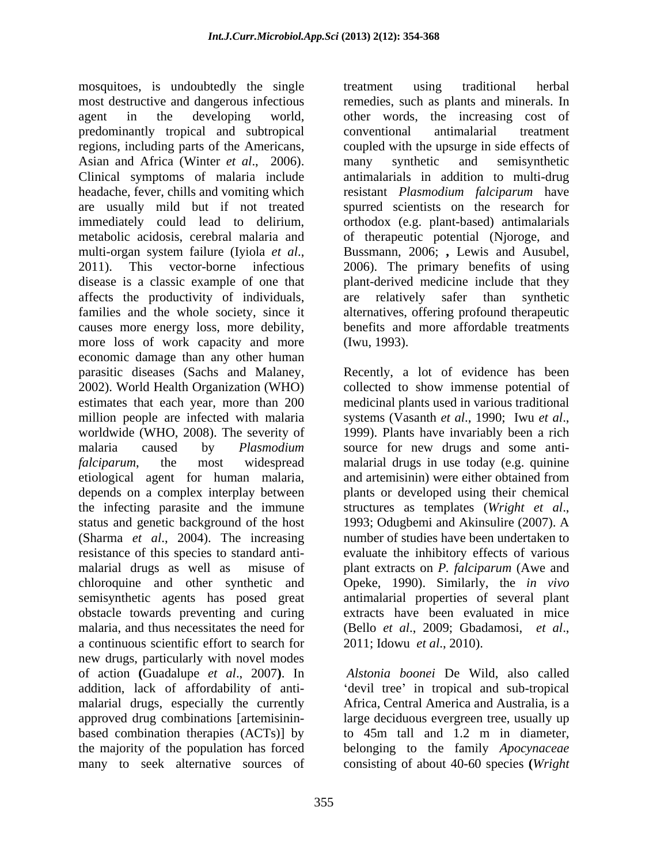mosquitoes, is undoubtedly the single treatment using traditional herbal most destructive and dangerous infectious remedies, such as plants and minerals. In agent in the developing world, other words, the increasing cost of predominantly tropical and subtropical regions, including parts of the Americans, coupled with the upsurge in side effects of Asian and Africa (Winter *et al.*, 2006). many synthetic and semisynthetic Clinical symptoms of malaria include antimalarials in addition to multi-drug headache, fever, chills and vomiting which resistant *Plasmodium falciparum* have are usually mild but if not treated spurred scientists on the research for immediately could lead to delirium, orthodox (e.g. plant-based) antimalarials metabolic acidosis, cerebral malaria and of therapeutic potential (Njoroge, and multi-organ system failure (Iyiola*et al*., 2011). This vector-borne infectious disease is a classic example of one that plant-derived medicine include that they affects the productivity of individuals, families and the whole society, since it alternatives, offering profound therapeutic causes more energy loss, more debility, benefits and more affordable treatments more loss of work capacity and more (Iwu, 1993). economic damage than any other human parasitic diseases (Sachs and Malaney, Recently, a lot of evidence has been 2002). World Health Organization (WHO) collected to show immense potential of estimates that each year, more than 200 medicinal plants used in various traditional million people are infected with malaria systems (Vasanth et al., 1990; Iwu et al., worldwide (WHO, 2008). The severity of 1999). Plants have invariably been a rich malaria caused by *Plasmodium*  source for new drugs and some anti *falciparum*, the most widespread malarial drugs in use today (e.g. quinine etiological agent for human malaria, depends on a complex interplay between plants or developed using their chemical the infecting parasite and the immune structures as templates (Wright et al., status and genetic background of the host 1993; Odugbemi and Akinsulire (2007). A (Sharma *et al*., 2004). The increasing resistance of this species to standard anti malarial drugs as well as misuse of plant extracts on *P. falciparum* (Awe and chloroquine and other synthetic and Opeke, 1990). Similarly, the *in vivo* semisynthetic agents has posed great obstacle towards preventing and curing extracts have been evaluated in mice malaria, and thus necessitates the need for (Bello et al., 2009; Gbadamosi, et al., a continuous scientific effort to search for 2011; Idowu et al., 2010). new drugs, particularly with novel modes of action **(**Guadalupe *et al*., 2007**)**. In addition, lack of affordability of anti-<br>
devil tree in tropical and sub-tropical malarial drugs, especially the currently Africa, Central America and Australia, is a approved drug combinations [artemisinin based combination therapies (ACTs)] by to 45m tall and 1.2 m in diameter, the majority of the population has forced belonging to the family *Apocynaceae* 

treatment using traditional herbal conventional antimalarial treatment many synthetic and semisynthetic Bussmann, 2006; **,** Lewis and Ausubel, 2006). The primary benefits of using are relatively safer than synthetic benefits and more affordable treatments (Iwu, 1993).

Recently, a lot of evidence has been collected to show immense potential of systems (Vasanth *et al*., 1990; Iwu *etal*., 1999). Plants have invariably been <sup>a</sup> rich and artemisinin) were either obtained from structures as templates(*Wright et al*., 1993; Odugbemi and Akinsulire (2007). A number of studies have been undertaken to evaluate the inhibitory effects of various antimalarial properties of several plant (Bello *et al*., 2009; Gbadamosi, *et al*., 2011; Idowu *et al*., 2010).

many to seek alternative sources of consisting of about 40-60 species **(***WrightAlstonia boonei* De Wild, also called large deciduous evergreen tree, usually up to 45m tall and 1.2 m in diameter,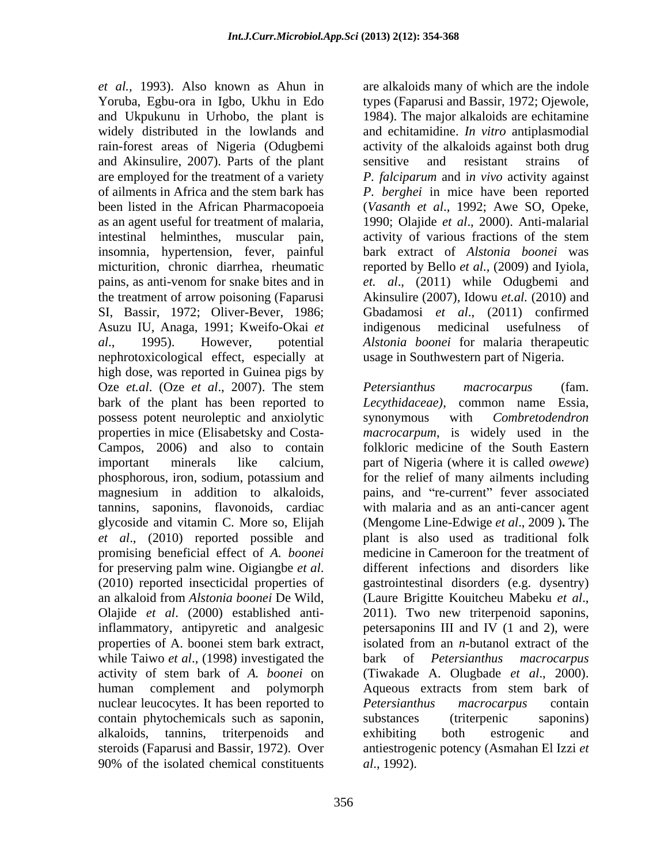*et al.,* 1993). Also known as Ahun in are alkaloids many of which are the indole Yoruba, Egbu-ora in Igbo, Ukhu in Edo types (Faparusi and Bassir, 1972; Ojewole, and Ukpukunu in Urhobo, the plant is widely distributed in the lowlands and and echitamidine. *In vitro* antiplasmodial rain-forest areas of Nigeria (Odugbemi activity of the alkaloids against both drug and Akinsulire, 2007). Parts of the plant sensitive and resistant strains of are employed for the treatment of a variety *P. falciparum* and i*n vivo* activity against of ailments in Africa and the stem bark has *P. berghei* in mice have been reported been listed in the African Pharmacopoeia (*Vasanth et al*., 1992; Awe SO, Opeke, as an agent useful for treatment of malaria, 1990; Olajide *et al*., 2000). Anti-malarial intestinal helminthes, muscular pain, activity of various fractions of the stem insomnia, hypertension, fever, painful micturition, chronic diarrhea, rheumatic reported by Bello *et al.,* (2009) and Iyiola, pains, as anti-venom for snake bites and in *et. al*., (2011) while Odugbemi and the treatment of arrow poisoning (Faparusi Akinsulire (2007), Idowu *et.al.* (2010) and SI, Bassir, 1972; Oliver-Bever, 1986; Gbadamosi *et al*., (2011) confirmed Asuzu IU, Anaga, 1991; Kweifo-Okai *et al*., 1995). However, potential *Alstonia boonei* for malaria therapeutic nephrotoxicological effect, especially at high dose, was reported in Guinea pigs by Oze *et.al*. (Oze *et al*., 2007). The stem bark of the plant has been reported to *Lecythidaceae*), common name Essia, possess potent neuroleptic and anxiolytic synonymous with *Combretodendron et al*., (2010) reported possible and promising beneficial effect of *A. boonei* an alkaloid from *Alstonia boonei* De Wild, Olajide *et al*. (2000) established antiinflammatory, antipyretic and analgesic nuclear leucocytes. It has been reported to *Petersianthus macrocarpus* contain contain phytochemicals such as saponin,

1984). The major alkaloids are echitamine sensitive and resistant strains of bark extract of *Alstonia boonei* was indigenous medicinal usefulness of usage in Southwestern part of Nigeria.

properties in mice (Elisabetsky and Costa- *macrocarpum*, is widely used in the Campos, 2006) and also to contain folkloric medicine of the South Eastern important minerals like calcium, part of Nigeria (where it is called *owewe*) phosphorous, iron, sodium, potassium and for the relief of many ailments including magnesium in addition to alkaloids, pains, and "re-current" fever associated tannins, saponins, flavonoids, cardiac with malaria and as an anti-cancer agent glycoside and vitamin C. More so, Elijah (Mengome Line-Edwige *et al*., 2009 )**.** The for preserving palm wine. Oigiangbe *et al*. different infections and disorders like (2010) reported insecticidal properties of gastrointestinal disorders (e.g. dysentry) properties of A. boonei stem bark extract, isolated from an *n*-butanol extract of the while Taiwo *et al.*, (1998) investigated the bark of *Petersianthus macrocarpus* activity of stem bark of *A. boonei* on (Tiwakade A. Olugbade *et al*., 2000). human complement and polymorph Aqueous extracts from stem bark of alkaloids, tannins, triterpenoids and steroids (Faparusi and Bassir, 1972). Over antiestrogenic potency (Asmahan El Izzi *et*  90% of the isolated chemical constituents al., 1992). *Petersianthus macrocarpus* (fam. *Lecythidaceae)*, common name Essia, synonymous with *Combretodendron*  plant is also used as traditional folk medicine in Cameroon for the treatment of different infections and disorders like gastrointestinal disorders (e.g. dysentry) (Laure Brigitte Kouitcheu Mabeku *et al*., 2011). Two new triterpenoid saponins, petersaponins III and IV (1 and 2), were isolated from an *n*-butanol extract of the bark of *Petersianthus macrocarpus Petersianthus macrocarpus* contain substances (triterpenic saponins) exhibiting both estrogenic and *al*., 1992).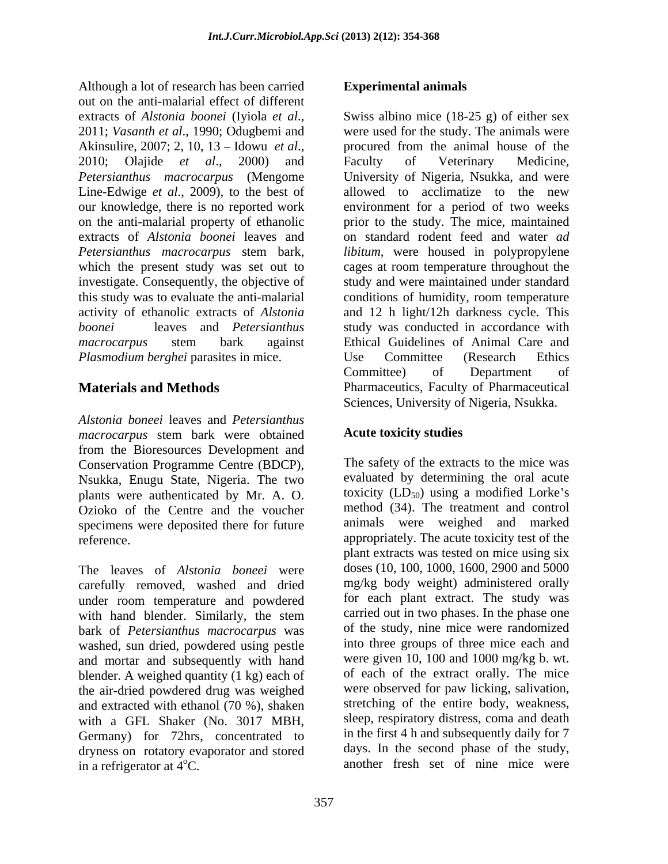Although a lot of research has been carried **Experimental animals** out on the anti-malarial effect of different extracts of *Alstonia boonei* (Iyiola *et al.*, Swiss albino mice (18-25 g) of either sex 2011; *Vasanth et al.*, 1990; Odugbemi and were used for the study. The animals were Akinsulire, 2007; 2, 10, 13 – Idowu *et al*., procured from the animal house of the 2010; Olajide *et al.*, 2000) and Faculty of Veterinary Medicine, *Petersianthus macrocarpus* (Mengome Line-Edwige *et al.*, 2009), to the best of our knowledge, there is no reported work environment for a period of two weeks on the anti-malarial property of ethanolic extracts of *Alstonia boonei* leaves and on standard rodent feed and water *ad Petersianthus macrocarpus* stem bark, *libitum,* were housed in polypropylene which the present study was set out to cages at room temperature throughout the investigate. Consequently, the objective of this study was to evaluate the anti-malarial activity of ethanolic extracts of *Alstonia*  and 12 h light/12h darkness cycle. This *boonei* leaves and *Petersianthus*  study was conducted in accordance with *macrocarpus* stem bark against *Plasmodium berghei parasites in mice.* Use Committee (Research Ethics

*Alstonia boneei* leaves and *Petersianthus macrocarpus* stem bark were obtained from the Bioresources Development and Conservation Programme Centre (BDCP), Nsukka, Enugu State, Nigeria. The two plants were authenticated by Mr. A. O. Ozioko of the Centre and the voucher specimens were deposited there for future

carefully removed, washed and dried under room temperature and powdered with hand blender. Similarly, the stem bark of *Petersianthus macrocarpus* was washed, sun dried, powdered using pestle and mortar and subsequently with hand blender. A weighed quantity (1 kg) each of the air-dried powdered drug was weighed and extracted with ethanol (70 %), shaken with a GFL Shaker (No. 3017 MBH, Germany) for 72hrs, concentrated to dryness on rotatory evaporator and stored

**Materials and Methods** Pharmaceutics, Faculty of Pharmaceutical Swiss albino mice (18-25 g) of either sex were used for the study. The animals were procured from the animal house of the Faculty of Veterinary Medicine, University of Nigeria, Nsukka, and were allowed to acclimatize to the new prior to the study. The mice, maintained study and were maintained under standard conditions of humidity, room temperature Ethical Guidelines of Animal Care and Use Committee (Research Ethics Committee) of Department of Sciences, University of Nigeria, Nsukka.

### **Acute toxicity studies**

reference.<br>
The leaves of *Alstonia boneei* were plant extracts was tested on mice using six<br>
The leaves of *Alstonia boneei* were doses (10, 100, 1000, 1600, 2900 and 5000 Although A for freezao inter-<br>
Although A for freezao in the set of the set of the set of the set of the set of the set of the set of the set of the set of the set of the set of the set of the set of the set of the set of The safety of the extracts to the mice was evaluated by determining the oral acute toxicity  $(LD_{50})$  using a modified Lorke's method (34). The treatment and control animals were weighed and marked appropriately. The acute toxicity test of the plant extracts was tested on mice using six doses (10, 100, 1000, 1600, 2900 and 5000 mg/kg body weight) administered orally for each plant extract. The study was carried out in two phases. In the phase one of the study, nine mice were randomized into three groups of three mice each and were given 10, 100 and 1000 mg/kg b. wt. of each of the extract orally. The mice were observed for paw licking, salivation, stretching of the entire body, weakness, sleep, respiratory distress, coma and death in the first 4 h and subsequently daily for 7 days. In the second phase of the study, another fresh set of nine mice were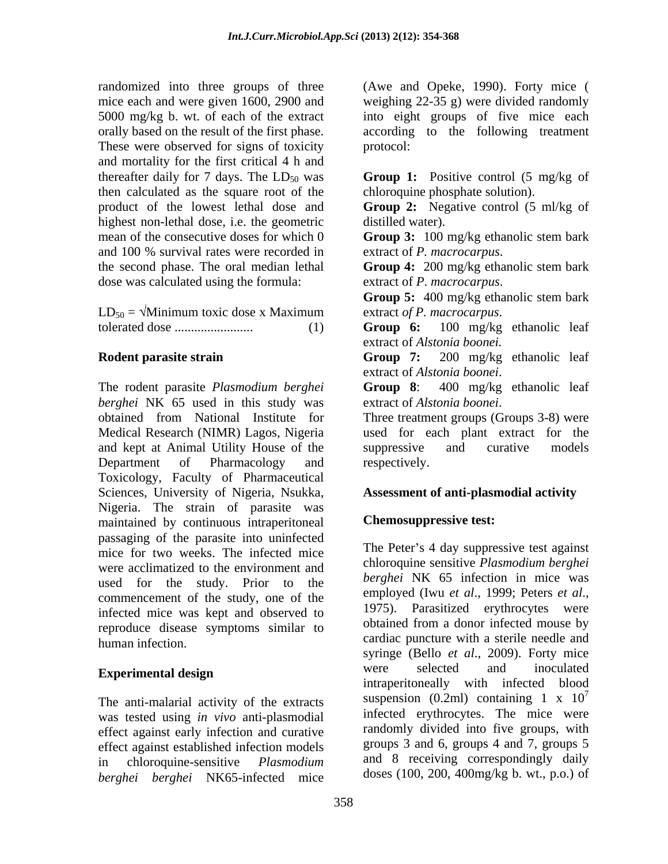randomized into three groups of three These were observed for signs of toxicity protocol: and mortality for the first critical 4 h and thereafter daily for 7 days. The  $LD_{50}$  was **Group 1:** Positive control (5 mg/kg of then calculated as the square root of the highest non-lethal dose, i.e. the geometric mean of the consecutive doses for which 0 **Group 3:** 100 mg/kg ethanolic stem bark and 100 % survival rates were recorded in extract of *P. macrocarpus*. the second phase. The oral median lethal **Group 4:** 200 mg/kg ethanolic stem bark dose was calculated using the formula:

 $LD_{50} = \sqrt{Minimum}$  toxic dose x Maximum extract of P. macrocarpus.

The rodent parasite *Plasmodium berghei berghei* NK 65 used in this study was obtained from National Institute for Three treatment groups (Groups 3-8) were Medical Research (NIMR) Lagos, Nigeria used for each plant extract for the and kept at Animal Utility House of the Department of Pharmacology and respectively. Toxicology, Faculty of Pharmaceutical Sciences, University of Nigeria, Nsukka, Nigeria. The strain of parasite was maintained by continuous intraperitoneal passaging of the parasite into uninfected mice for two weeks. The infected mice were acclimatized to the environment and used for the study. Prior to the *bergnet* NK 65 intection in fince was<br>commencement of the study one of the employed (Iwu *et al.*, 1999; Peters *et al.*, commencement of the study, one of the employed (IWU et al., 1999; Peters et al., infected mise were  $\frac{1975}{2}$ . Parasitized erythrocytes were infected mice was kept and observed to reproduce disease symptoms similar to human infection. cardiac puncture with a sterile needle and

The anti-malarial activity of the extracts was tested using *in vivo* anti-plasmodial effect against early infection and curative effect against established infection models *berghei berghei* NK65-infected mice

mice each and were given 1600, 2900 and weighing 22-35 g) were divided randomly 5000 mg/kg b. wt. of each of the extract into eight groups of five mice each orally based on the result of the first phase. according to the following treatment (Awe and Opeke, 1990). Forty mice ( protocol: **Example 2018** 

chloroquine phosphate solution).

product of the lowest lethal dose and **Group 2:** Negative control (5 ml/kg of distilled water).

extract of *P. macrocarpus*.

**Group 4:** 200 mg/kg ethanolic stem bark extract of *P*. *macrocarpus*.

**Group 5:** 400 mg/kg ethanolic stem bark extract *of P. macrocarpus*.

tolerated dose ........................ (1) **Group 6:** 100 mg/kg ethanolic leaf extract of *Alstonia boonei.*

**Rodent parasite strain Croup 7:** 200 mg/kg ethanolic leaf **Group 7:** 200 mg/kg ethanolic leaf extract of *Alstonia boonei*.

**Group 8**: 400 mg/kg ethanolic leaf extract of *Alstonia boonei*.

suppressive and curative models respectively.

## **Assessment of anti-plasmodial activity**

# **Chemosuppressive test:**

**Experimental design** in chloroquine-sensitive *Plasmodium*  and 8 receiving correspondingly daily The Peter's 4 day suppressive test against chloroquine sensitive *Plasmodium berghei berghei* NK 65 infection in mice was employed (Iwu *et al*., 1999; Peters *et al*., 1975). Parasitized erythrocytes were obtained from a donor infected mouse by syringe (Bello *et al*., 2009). Forty mice were selected and inoculated intraperitoneally with infected blood suspension (0.2ml) containing 1 x  $10^7$ 7 infected erythrocytes. The mice were randomly divided into five groups, with groups 3 and 6, groups 4 and 7, groups 5 doses (100, 200, 400mg/kg b. wt., p.o.) of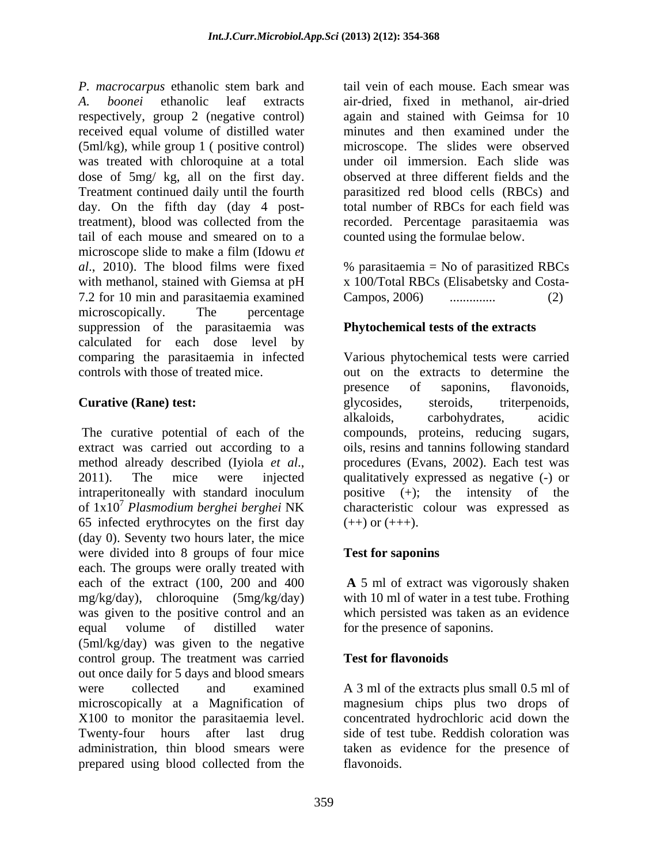*P. macrocarpus* ethanolic stem bark and *A. boonei* ethanolic leaf extracts air-dried, fixed in methanol, air-dried respectively, group 2 (negative control) received equal volume of distilled water minutes and then examined under the (5ml/kg), while group 1 ( positive control) was treated with chloroquine at a total dose of 5mg/ kg, all on the first day. Treatment continued daily until the fourth parasitized red blood cells (RBCs) and day. On the fifth day (day 4 posttreatment), blood was collected from the tail of each mouse and smeared on to a microscope slide to make a film (Idowu *et al.*, 2010). The blood films were fixed % parasitaemia = No of parasitized RBCs with methanol, stained with Giemsa at pH x 100/Total RBCs (Elisabetsky and Costa-7.2 for 10 min and parasitaemia examined microscopically. The percentage microscopically and the percentage suppression of the parasitaemia was calculated for each dose level by comparing the parasitaemia in infected Various phytochemical tests were carried

extract was carried out according to a oils, resins and tannins following standard method already described (Iyiola *et al.*, procedures (Evans, 2002). Each test was <br>2011). The mice were injected qualitatively expressed as negative (-) or intraperitoneally with standard inoculum of 1x10 <sup>7</sup> *Plasmodium berghei berghei* NK characteristic colour was expressed as 65 infected erythrocytes on the first day (day 0). Seventy two hours later, the mice were divided into 8 groups of four mice **Test for saponing** each. The groups were orally treated with each of the extract (100, 200 and 400  **A** 5 ml of extract was vigorously shaken mg/kg/day), chloroquine (5mg/kg/day) was given to the positive control and an which persisted was taken as an evidence equal volume of distilled water for the presence of saponins. (5ml/kg/day) was given to the negative control group. The treatment was carried Test for flavonoids out once daily for 5 days and blood smears were collected and examined A 3 ml of the extracts plus small 0.5 ml of microscopically at a Magnification of magnesium chips plus two drops of X100 to monitor the parasitaemia level. Twenty-four hours after last drug side of test tube. Reddish coloration was administration, thin blood smears were taken as evidence for the presence of prepared using blood collected from the flavonoids.

tail vein of each mouse. Each smear was again and stained with Geimsa for 10 microscope. The slides were observed under oil immersion. Each slide was observed at three different fields and the total number of RBCs for each field was recorded. Percentage parasitaemia was counted using the formulae below.

% parasitaemia = No of parasitized RBCs Campos, 2006) .............. (2)

## **Phytochemical tests of the extracts**

controls with those of treated mice. out on the extracts to determine the **Curative (Rane) test:**  $\qquad \qquad$  glycosides, steroids, triterpenoids, The curative potential of each of the compounds, proteins, reducing sugars, presence of saponins, flavonoids, glycosides, steroids, triterpenoids, alkaloids, carbohydrates, acidic procedures (Evans, 2002). Each test was qualitatively expressed as negative(-) or positive  $(+)$ ; the intensity of the  $(++)$  or  $(+++)$ .

## **Test for saponins**

with 10 ml of water in a test tube. Frothing

## **Test for flavonoids**

concentrated hydrochloric acid down the flavonoids.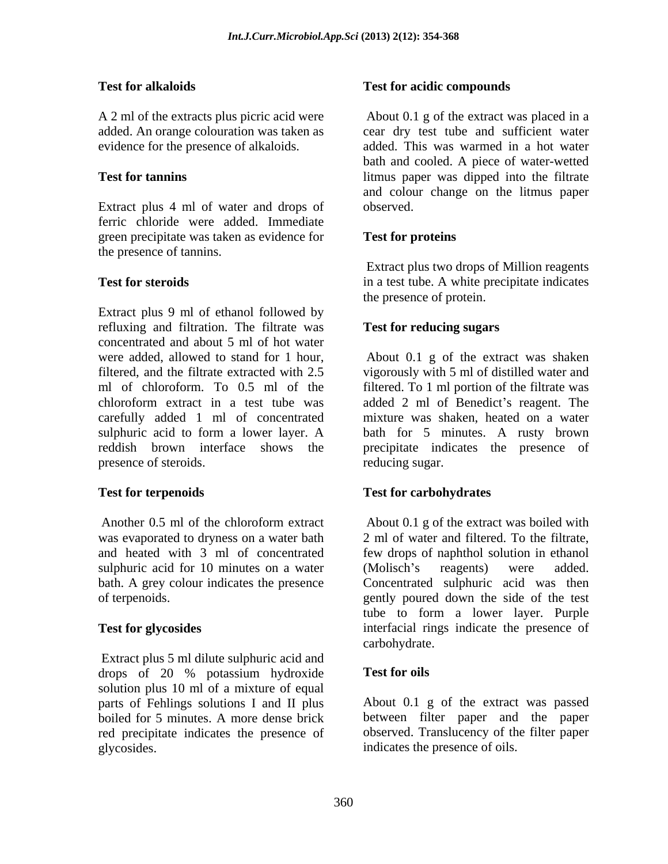A 2 ml of the extracts plus picric acid were

Extract plus 4 ml of water and drops of observed. ferric chloride were added. Immediate green precipitate was taken as evidence for **Test for proteins** the presence of tannins.

Extract plus 9 ml of ethanol followed by refluxing and filtration. The filtrate was concentrated and about 5 ml of hot water were added, allowed to stand for 1 hour, About 0.1 g of the extract was shaken filtered, and the filtrate extracted with 2.5 vigorously with 5 ml of distilled water and ml of chloroform. To 0.5 ml of the filtered. To 1 ml portion of the filtrate was chloroform extract in a test tube was added 2 ml of Benedict's reagent. The carefully added 1 ml of concentrated sulphuric acid to form a lower layer. A bath for 5 minutes. A rusty brown reddish brown interface shows the precipitate indicates the presence of presence of steroids. Test for all adiabation<br>
Test for aciditie compounds<br>
An only of a causate play piecie acid were<br>
seeing to Apple extends with a causate play<br>
seeing coloration was taken as<br>
evidence for the presence of alkability<br>
seeing

sulphuric acid for 10 minutes on a water (Molisch's reagents) were added.

Extract plus 5 ml dilute sulphuric acid and<br>drops of 20 % potassium hydroxide **Test for oils** drops of 20 % potassium hydroxide **Test for oils** solution plus 10 ml of a mixture of equal red precipitate indicates the presence of

### Test for alkaloids **Test for acidic compounds**

added. An orange colouration was taken as cear dry test tube and sufficient water evidence for the presence of alkaloids. added. This was warmed in a hot water **Test for tannins** litmus paper was dipped into the filtrate About 0.1 g of the extract was placed in a bath and cooled. A piece of water-wetted and colour change on the litmus paper observed.

### **Test for proteins**

**Test for steroids in a test tube.** A white precipitate indicates Extract plus two drops of Million reagents the presence of protein.

### **Test for reducing sugars**

mixture was shaken, heated on a water reducing sugar.

## **Test for terpenoids Test for carbohydrates**

Another 0.5 ml of the chloroform extract About 0.1 g of the extract was boiled with was evaporated to dryness on a water bath 2 ml of water and filtered. To the filtrate, and heated with 3 ml of concentrated few drops of naphthol solution in ethanol bath. A grey colour indicates the presence Concentrated sulphuric acid was then of terpenoids. gently poured down the side of the test **Test for glycosides** interfacial rings indicate the presence of About 0.1 g of the extract was boiled with (Molisch's reagents) were added. tube to form a lower layer. Purple carbohydrate.

### **Test for oils**

parts of Fehlings solutions I and II plus About 0.1 g of the extract was passed boiled for 5 minutes. A more dense brick between filter paper and the paper observed. Translucency of the filter paper indicates the presence of oils.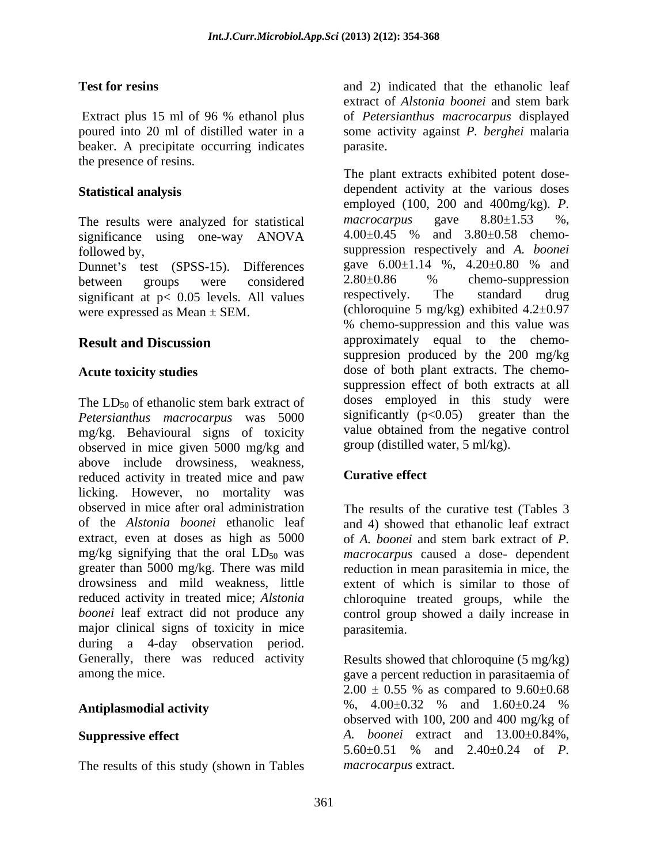beaker. A precipitate occurring indicates parasite. the presence of resins.

significance using one-way ANOVA

significant at  $p < 0.05$  levels. All values respectively. The standard drug

The  $LD_{50}$  of ethanolic stem bark extract of doses employed in this study were *Petersianthus macrocarpus* was 5000 mg/kg. Behavioural signs of toxicity observed in mice given 5000 mg/kg and above include drowsiness, weakness,<br>reduced activity in treated mice and naw **Curative effect** reduced activity in treated mice and paw licking. However, no mortality was observed in mice after oral administration The results of the curative test (Tables 3 of the *Alstonia boonei* ethanolic leaf extract, even at doses as high as 5000 of A, boonei and stem bark extract of P. mg/kg signifying that the oral  $LD_{50}$  was greater than 5000 mg/kg. There was mild reduction in mean parasitemia in mice, the drowsiness and mild weakness, little extent of which is similar to those of reduced activity in treated mice; *Alstonia*  chloroquine treated groups, while the boonei leaf extract did not produce any control group showed a daily increase in major clinical signs of toxicity in mice parasitemia. during a 4-day observation period. Generally, there was reduced activity Results showed that chloroquine (5 mg/kg)

The results of this study (shown in Tables

**Test for resins** and 2) indicated that the ethanolic leaf Extract plus 15 ml of 96 % ethanol plus of *Petersianthus macrocarpus* displayed poured into 20 ml of distilled water in a some activity against *P. berghei* malaria extract of *Alstonia boonei* and stem bark of *Petersianthus macrocarpus* displayed parasite.

**Statistical analysis** dependent activity at the various doses The results were analyzed for statistical macrocarpus gave  $8.80 \pm 1.53$  %,<br>significance using one-way  $ANOVA$   $4.00 \pm 0.45$  % and  $3.80 \pm 0.58$  chemofollowed by, suppression respectively and *A. boonei* Dunnet's test (SPSS-15). Differences gave  $6.00\pm1.14$  %,  $4.20\pm0.80$  % and<br>between groups were considered  $2.80\pm0.86$  % chemo-suppression between groups were considered  $2.80\pm0.86$  % chemo-suppression were expressed as Mean  $\pm$  SEM. (chloroquine 5 mg/kg) exhibited 4.2 $\pm$ 0.97 **Result and Discussion approximately** equal to the chemo-Acute toxicity studies **dose** of both plant extracts. The chemo-The plant extracts exhibited potent dose employed (100, 200 and 400mg/kg)*. P. macrocarpus* gave 8.80±1.53 %, 4.00±0.45 % and 3.80±0.58 chemo gave 6.00±1.14 %, 4.20±0.80 % and 2.80±0.86 % chemo-suppression respectively. The standard drug % chemo-suppression and this value was suppresion produced by the 200 mg/kg suppression effect of both extracts at all doses employed in this study were significantly  $(p<0.05)$  greater than the value obtained from the negative control group (distilled water, 5 ml/kg).

## **Curative effect**

and 4) showed that ethanolic leaf extract of *A. boonei* and stem bark extract of *P. macrocarpus* caused a dose- dependent parasitemia.

among the mice. gave a percent reduction in parasitaemia of Antiplasmodial activity **2000 metabolisms**  $\%$ , 4.00±0.32 % and 1.60±0.24 % **Suppressive effect** *A. boonei* extract and 13.00±0.84%,  $2.00 \pm 0.55$  % as compared to  $9.60 \pm 0.68$ %, 4.00±0.32 % and 1.60±0.24 % observed with 100, 200 and 400 mg/kg of 5.60±0.51 % and 2.40±0.24 of *P. macrocarpus* extract.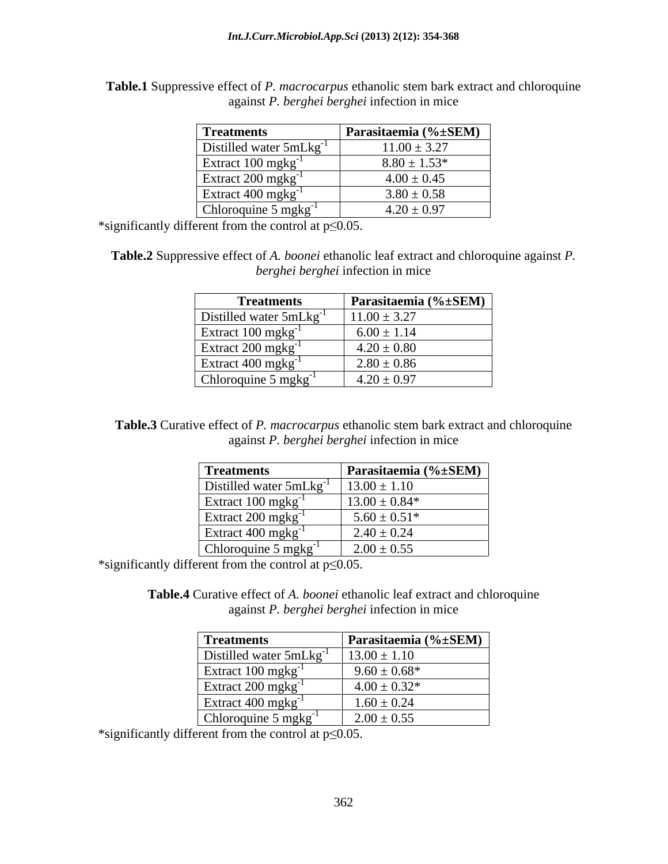**Table.1** Suppressive effect of *P. macrocarpus* ethanolic stem bark extract and chloroquine against *P. berghei berghei* infection in mice

| <b>Treatments</b>                          | Parasitaemia (%±SEM) |
|--------------------------------------------|----------------------|
| Distilled water $5mLkg^{-1}$               | $11.00 \pm 3.27$     |
| Extract $100 \text{ m}$ g $\text{kg}^{-1}$ | $8.80 \pm 1.53*$     |
| Extract 200 mgkg <sup>-1</sup>             | $4.00 \pm 0.45$      |
| Extract 400 mgkg <sup>-1</sup>             | $3.80 \pm 0.58$      |
| Chloroquine $5 \text{ mgkg}^{-1}$          | $4.20 \pm 0.97$      |

\*significantly different from the control at  $p \le 0.05$ .

**Table.2** Suppressive effect of *A. boonei* ethanolic leaf extract and chloroquine against *P. berghei berghei* infection in mice

| <b>Treatments</b>              | Parasitaemia (% $\pm$ SEM) |
|--------------------------------|----------------------------|
| Distilled water 5mLkg          | $.1.00 \pm 3.27$           |
| Extract 100 mgkg <sup>-1</sup> | $6.00 \pm 1.14$            |
| Extract 200 mgkg <sup>-1</sup> | $4.20 \pm 0.80$            |
| Extract 400 mgkg <sup>-1</sup> | $2.80 \pm 0.86$            |
| Chloroquine 5 mgkg             | $4.20 \pm 0.97$            |

**Table.3** Curative effect of *P. macrocarpus* ethanolic stem bark extract and chloroquine against *P. berghei berghei* infection in mice

| <b>Treatments</b>                 | Parasitaemia (%±SEM) |
|-----------------------------------|----------------------|
| Distilled water $5mLkg^{-1}$      | $13.00 \pm 1.10$     |
| Extract $100 \text{ mgkg}^{-1}$   | $13.00 \pm 0.84*$    |
| Extract $200 \text{ mgkg}^{-1}$   | $5.60 \pm 0.51*$     |
| Extract 400 mgkg <sup>-1</sup>    | $2.40 \pm 0.24$      |
| Chloroquine $5 \text{ mgkg}^{-1}$ | $2.00 \pm 0.55$      |

\*significantly different from the control at  $p \le 0.05$ .

**Table.4** Curative effect of *A. boonei* ethanolic leaf extract and chloroquine against *P. berghei berghei* infection in mice

| <b>Treatments</b>                 | Parasitaemia (%±SEM) |
|-----------------------------------|----------------------|
| Distilled water $5mLkg^{-1}$      | $13.00 \pm 1.10$     |
| Extract $100 \text{ mgkg}^{-1}$   | $9.60 \pm 0.68*$     |
| Extract 200 mgkg <sup>-1</sup>    | $4.00 \pm 0.32*$     |
| Extract $400 \text{ mgkg}^{-1}$   | $1.60 \pm 0.24$      |
| Chloroquine $5 \text{ mgkg}^{-1}$ | $2.00 \pm 0.55$      |

\*significantly different from the control at  $p \le 0.05$ .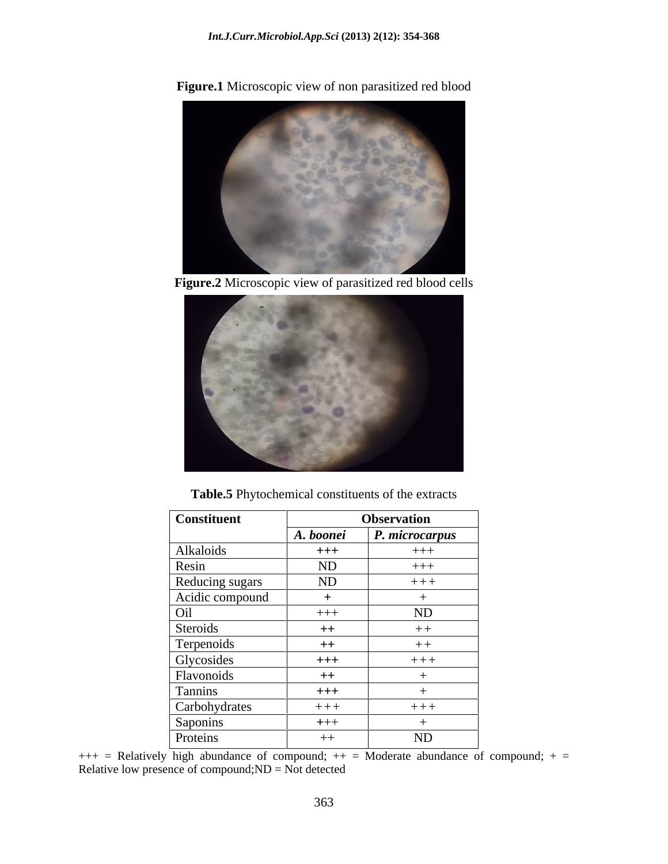**Figure.1** Microscopic view of non parasitized red blood

**Figure.2** Microscopic view of parasitized red blood cells



**Table.5** Phytochemical constituents of the extracts

| <b>Constituent</b> |           | <b>Observation</b> |  |
|--------------------|-----------|--------------------|--|
|                    | A. boonei | P. microcarpus     |  |
| Alkaloids          | $+++$     | $+++$              |  |
| Resin              | ND        | $+++$              |  |
| Reducing sugars    | ND        | $+++$              |  |
| Acidic compound    |           |                    |  |
| Oil                | $+++$     | ND                 |  |
| Steroids           | $++$      | $++$               |  |
| Terpenoids         | $++$      | $++$               |  |
| Glycosides         | $+++$     | $+++$              |  |
| Flavonoids         | $++$      |                    |  |
| Tannins            | $+++$     |                    |  |
| Carbohydrates      | $+++$     | $+++$              |  |
| Saponins           | $+++$     |                    |  |
| Proteins           | $++$      | ND                 |  |

 $++=$  Relatively high abundance of compound;  $++=$  Moderate abundance of compound;  $+=$ Relative low presence of compound;ND = Not detected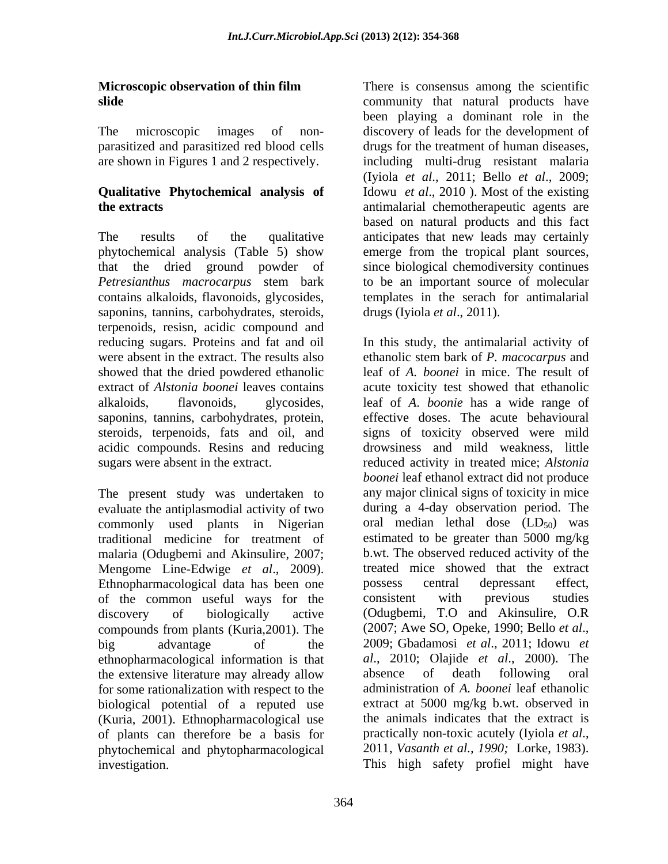The results of the qualitative anticipates that new leads may certainly phytochemical analysis (Table 5) show emerge from the tropical plant sources, that the dried ground powder of since biological chemodiversity continues *Petresianthus macrocarpus* stem bark to be an important source of molecular contains alkaloids, flavonoids, glycosides, templates in the serach for antimalarial saponins, tannins, carbohydrates, steroids, terpenoids, resisn, acidic compound and showed that the dried powdered ethanolic saponins, tannins, carbohydrates, protein,

The present study was undertaken to evaluate the antiplasmodial activity of two commonly used plants in Nigerian traditional medicine for treatment of malaria (Odugbemi and Akinsulire, 2007; of the common useful ways for the compounds from plants (Kuria, 2001). The (2007; Awe SO, Opeke, 1990; Bello et al., big advantage of the 2009; Gbadamosi *et al.*, 2011; Idowu *et* ethnopharmacological information is that the extensive literature may already allow absence of death following oral for some rationalization with respect to the biological potential of a reputed use (Kuria, 2001). Ethnopharmacological use of plants can therefore be a basis for practically non-toxic acutely (Iyiola et al., bhvtochemical and phvtopharmacological 2011, Vasanth et al., 1990; Lorke, 1983). phytochemical and phytopharmacological investigation. This high safety profiel might have

**Microscopic observation of thin film** There is consensus among the scientific **slide similar community** that natural products have The microscopic images of non- discovery of leads for the development of parasitized and parasitized red blood cells drugs for the treatment of human diseases, are shown in Figures 1 and 2 respectively. including multi-drug resistant malaria **Qualitative Phytochemical analysis of** Idowu *et al*., 2010 ). Most of the existing **the extracts** antimalarial chemotherapeutic agents are been playing a dominant role in the (Iyiola *et al*., 2011; Bello *et al*., 2009; based on natural products and this fact drugs (Iyiola *et al*., 2011).

reducing sugars. Proteins and fat and oil In this study, the antimalarial activity of were absent in the extract. The results also ethanolic stem bark of *P. macocarpus* and extract of *Alstonia boonei* leaves contains acute toxicity test showed that ethanolic alkaloids, flavonoids, glycosides, leaf of *A*. *boonie* has a wide range of steroids, terpenoids, fats and oil, and signs of toxicity observed were mild acidic compounds. Resins and reducing drowsiness and mild weakness, little sugars were absent in the extract. reduced activity in treated mice; *Alstonia*  Mengome Line-Edwige *et al*., 2009). Ethnopharmacological data has been one discovery of biologically active (Odugbemi, T.O and Akinsulire, O.R leaf of *A. boonei* in mice. The result of effective doses. The acute behavioural *boonei* leaf ethanol extract did not produce any major clinical signs of toxicity in mice during a 4-day observation period. The oral median lethal dose  $(LD_{50})$  was estimated to be greater than 5000 mg/kg b.wt. The observed reduced activity of the treated mice showed that the extract possess central depressant effect, consistent with previous studies (2007; Awe SO, Opeke, 1990; Bello *et al*., 2009; Gbadamosi *et al*., 2011; Idowu *et al*., 2010; Olajide *et al*., 2000). The absence of death following oral administration of *A. boonei* leaf ethanolic extract at 5000 mg/kg b.wt. observed in the animals indicates that the extract is practically non-toxic acutely (Iyiola *et al*., 2011, *Vasanth et al., 1990;* Lorke, 1983).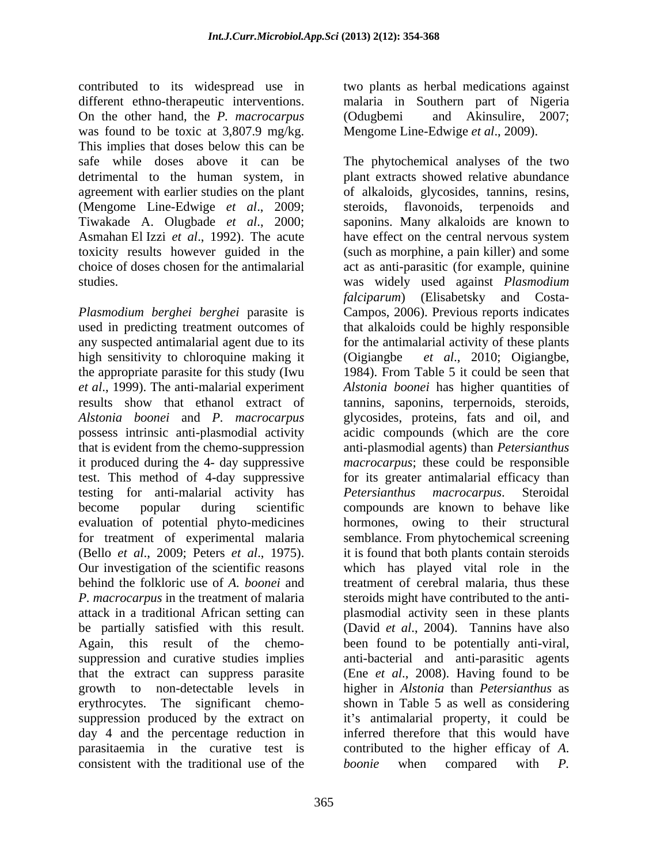contributed to its widespread use in different ethno-therapeutic interventions. malaria in Southern part of Nigeria On the other hand, the *P. macrocarpus*  was found to be toxic at 3,807.9 mg/kg. Mengome Line-Edwige et al., 2009). This implies that doses below this can be safe while doses above it can be The phytochemical analyses of the two (Mengome Line-Edwige *et al*., 2009;

high sensitivity to chloroquine making it (Oigiangbe the appropriate parasite for this study (Iwu that is evident from the chemo-suppression testing for anti-malarial activity has *Petersianthus macrocarpus*. Steroidal that the extract can suppress parasite growth to non-detectable levels in consistent with the traditional use of the *boonie* when compared with P.

two plants as herbal medications against (Odugbemi and Akinsulire, 2007;

detrimental to the human system, in plant extracts showed relative abundance agreement with earlier studies on the plant of alkaloids, glycosides, tannins, resins, Tiwakade A. Olugbade *et al*., 2000; saponins. Many alkaloids are known to Asmahan El Izzi *et al*., 1992). The acute have effect on the central nervous system toxicity results however guided in the (such as morphine, a pain killer) and some choice of doses chosen for the antimalarial act as anti-parasitic (for example, quinine studies. was widely used against *Plasmodium Plasmodium berghei berghei* parasite is Campos, 2006). Previous reports indicates used in predicting treatment outcomes of that alkaloids could be highly responsible any suspected antimalarial agent due to its for the antimalarial activity of these plants *et al*., 1999). The anti-malarial experiment *Alstonia boonei* has higher quantities of results show that ethanol extract of tannins, saponins, terpernoids, steroids, *Alstonia boonei* and *P. macrocarpus* glycosides, proteins, fats and oil, and possess intrinsic anti-plasmodial activity acidic compounds (which are the core it produced during the 4- day suppressive *macrocarpus*; these could be responsible test. This method of 4-day suppressive for its greater antimalarial efficacy than become popular during scientific compounds are known to behave like evaluation of potential phyto-medicines hormones, owing to their structural for treatment of experimental malaria semblance. From phytochemical screening (Bello *et al.*, 2009; Peters *et al.*, 1975). it is found that both plants contain steroids<br>Our investigation of the scientific reasons which has played vital role in the behind the folkloric use of *A. boonei* and treatment of cerebral malaria, thus these *P. macrocarpus* in the treatment of malaria steroids might have contributed to the anti attack in a traditional African setting can plasmodial activity seen in these plants be partially satisfied with this result. (David *et al*., 2004). Tannins have also Again, this result of the chemo- been found to be potentially anti-viral, suppression and curative studies implies anti-bacterial and anti-parasitic agents erythrocytes. The significant chemo- shown in Table 5 as well as considering suppression produced by the extract on it's antimalarial property, it could be day 4 and the percentage reduction in inferred therefore that this would have parasitaemia in the curative test is contributed to the higher efficay of *A*. Mengome Line-Edwige *et al*., 2009). The phytochemical analyses of the two steroids, flavonoids, terpenoids and *falciparum*) (Elisabetsky and Costa *et al.*, 2010; Oigiangbe, 1984). From Table 5 it could be seen that anti-plasmodial agents) than *Petersianthus Petersianthus macrocarpus.* it is found that both plants contain steroids which has played vital role in the (Ene *et al*., 2008). Having found to be higher in *Alstonia* than *Petersianthus* as *boonie* when compared with *P.*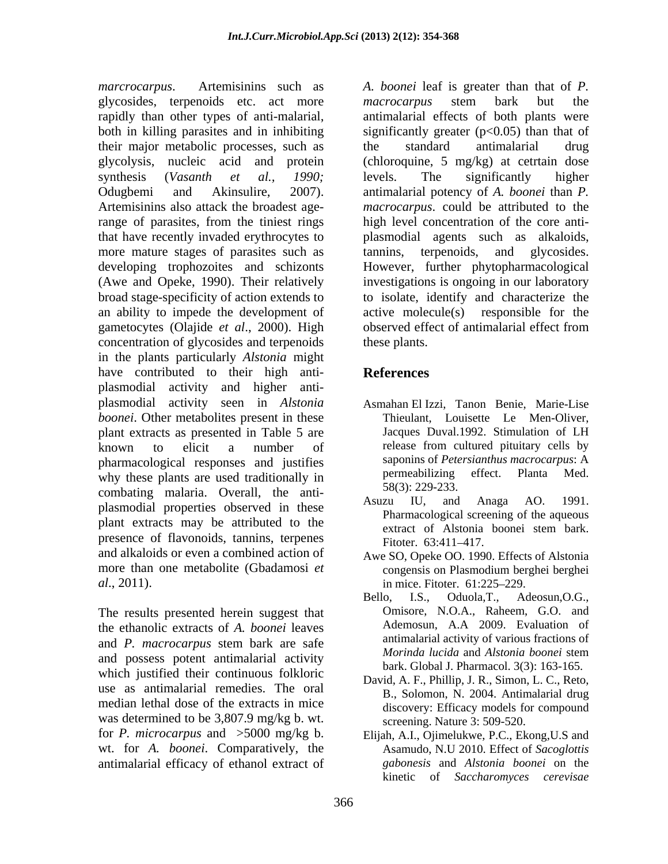*marcrocarpus*. Artemisinins such as *A. boonei* leaf is greater than that of *P.* glycosides, terpenoids etc. act more *macrocarpus* stem bark but the rapidly than other types of anti-malarial, both in killing parasites and in inhibiting significantly greater (p<0.05) than that of their major metabolic processes, such as glycolysis, nucleic acid and protein (chloroquine, 5 mg/kg) at cetrtain dose synthesis (*Vasanth et al., 1990;* Odugbemi and Akinsulire, 2007). antimalarial potency of *A. boonei* than *P.* Artemisinins also attack the broadest agerange of parasites, from the tiniest rings high level concentration of the core anti that have recently invaded erythrocytes to more mature stages of parasites such as tannins, terpenoids, and glycosides. developing trophozoites and schizonts However, further phytopharmacological (Awe and Opeke, 1990). Their relatively investigations is ongoing in our laboratory broad stage-specificity of action extends to an ability to impede the development of active molecule(s) responsible for the gametocytes (Olajide *et al*., 2000). High concentration of glycosides and terpenoids in the plants particularly *Alstonia* might have contributed to their high anti-<br>References plasmodial activity and higher anti plasmodial activity seen in *Alstonia boonei*. Other metabolites present in these plant extracts as presented in Table 5 are known to elicit a number of release from cultured pituitary cells by pharmacological responses and justifies saponing *Sepharmacological responses* and justifies saponing *sepharmacological responses* and in the permeabilizing effect. Planta Med. why these plants are used traditionally in combating malaria. Overall, the anti-<br>Asuzu IU, and Anaga AO. 1991. plasmodial properties observed in these plant extracts may be attributed to the extract of Alstonia boonei stem bark. presence of flavonoids, tannins, terpenes<br>Fitoter. 63:411-417. and alkaloids or even a combined action of Awe SO, Opeke OO. 1990. Effects of Alstonia more than one metabolite (Gbadamosi *et* congensis on Plasmodium berghei berghei

the ethanolic extracts of *A. boonei* leaves and *P. macrocarpus* stem bark are safe and possess potent antimalarial activity which justified their continuous folkloric use as antimalarial remedies. The oral median lethal dose of the extracts in mice was determined to be 3,807.9 mg/kg b. wt. for *P. microcarpus* and >5000 mg/kg b. Elijah, A.I., Ojimelukwe, P.C., Ekong,U.S and wt. for *A. boonei*. Comparatively, the antimalarial efficacy of ethanol extract of

*macrocarpus* stem bark but the antimalarial effects of both plants were the standard antimalarial drug levels. The significantly higher *macrocarpus*. could be attributed to the plasmodial agents such as alkaloids, tannins, terpenoids, and glycosides. to isolate, identify and characterize the active molecule(s) responsible for the observed effect of antimalarial effect from these plants.

# **References**

- Asmahan El Izzi, Tanon Benie, Marie-Lise Thieulant, Louisette Le Men-Oliver, Jacques Duval.1992. Stimulation of LH release from cultured pituitary cells by saponins of *Petersianthus macrocarpus*: A permeabilizing effect. Planta Med. 58(3): 229-233.
- Asuzu IU, and Anaga AO. 1991. Pharmacological screening of the aqueous extract of Alstonia boonei stem bark. Fitoter. 63:411–417.
- congensis on Plasmodium berghei berghei in mice. Fitoter. 61:225–229.
- *al*., 2011).  $\begin{aligned}\n &\text{in mice. Fitoter. } 61:225-229.\n \end{aligned}$ Bello, I.S., Oduola,T., Adeosun,O.G.,<br>
The results presented herein suggest that Omisore, N.O.A., Raheem, G.O. and Bello, I.S., Oduola,T., Adeosun,O.G., Omisore, N.O.A., Raheem, G.O. and Ademosun, A.A 2009. Evaluation of antimalarial activity of various fractions of *Morinda lucida* and *Alstonia boonei* stem bark. Global J. Pharmacol. 3(3): 163-165.
	- David, A. F., Phillip, J. R., Simon, L. C., Reto, B., Solomon, N. 2004. Antimalarial drug discovery: Efficacy models for compound screening. Nature 3: 509-520.
	- Asamudo, N.U 2010. Effect of *Sacoglottis gabonesis* and *Alstonia boonei* on the kinetic of *Saccharomyces cerevisae*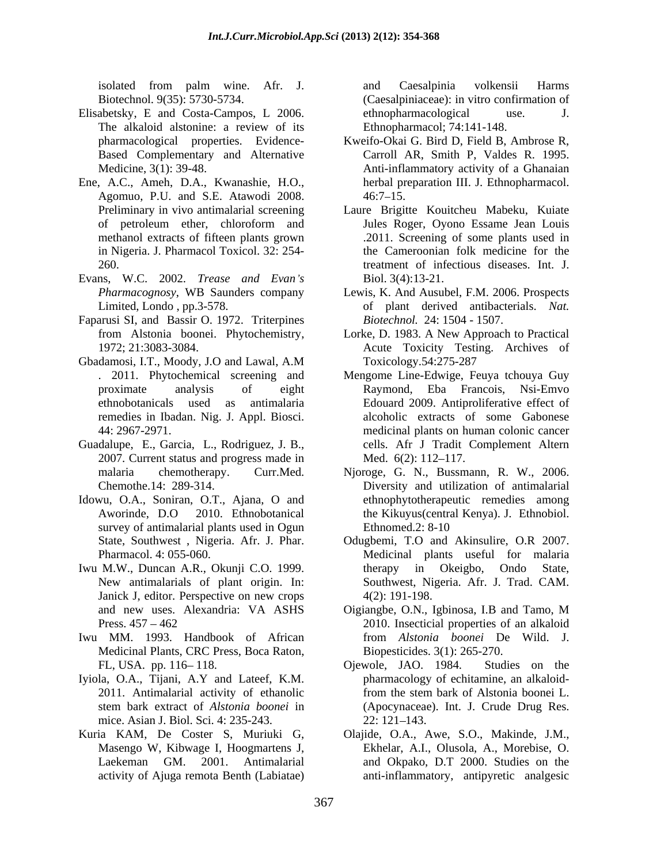- Elisabetsky, E and Costa-Campos, L 2006. the ethnopharmacological use. J.<br>The alkaloid alstonine: a review of its Ethnopharmacol; 74:141-148.
- Ene, A.C., Ameh, D.A., Kwanashie, H.O., Agomuo, P.U. and S.E. Atawodi 2008. in Nigeria. J. Pharmacol Toxicol. 32: 254-
- Evans, W.C. 2002. *Trease and Evan s*
- Faparusi SI, and Bassir O. 1972. Triterpines
- Gbadamosi, I.T., Moody, J.O and Lawal, A.M
- Guadalupe, E., Garcia, L., Rodriguez, J. B., 2007. Current status and progress made in Med. 6(2): 112–117.
- survey of antimalarial plants used in Ogun Ethnomed.2: 8-10
- Iwu M.W., Duncan A.R., Okunji C.O. 1999. Janick J, editor. Perspective on new crops  $4(2)$ : 191-198.
- Iwu MM. 1993. Handbook of African Medicinal Plants, CRC Press, Boca Raton,
- Iyiola, O.A., Tijani, A.Y and Lateef, K.M. mice. Asian J. Biol. Sci. 4: 235-243. 22: 121-143.
- Kuria KAM, De Coster S, Muriuki G, Olajide, O.A., Awe, S.O., Makinde,J.M.,

isolated from palm wine. Afr. J. Biotechnol. 9(35): 5730-5734. (Caesalpiniaceae): in vitro confirmation of and Caesalpinia volkensii Harms ethnopharmacological use. J. Ethnopharmacol; 74:141-148.

- pharmacological properties. Evidence- Kweifo-Okai G. Bird D, Field B, Ambrose R, Based Complementary and Alternative Carroll AR, Smith P, Valdes R. 1995. Medicine, 3(1): 39-48. Anti-inflammatory activity of a Ghanaian herbal preparation III. J. Ethnopharmacol.  $46:7-15.$
- Preliminary in vivo antimalarial screening Laure Brigitte Kouitcheu Mabeku, Kuiate of petroleum ether, chloroform and methanol extracts of fifteen plants grown .2011. Screening of some plants used in 260. treatment of infectious diseases. Int. J. Jules Roger, Oyono Essame Jean Louis the Cameroonian folk medicine for the Biol. 3(4):13-21.
- *Pharmacognosy*, WB Saunders company Lewis, K. And Ausubel, F.M. 2006. Prospects Limited, Londo, pp.3-578. **on** of plant derived antibacterials. *Nat. Biotechnol.* 24: 1504 - 1507.
- from Alstonia boonei. Phytochemistry, Lorke, D. 1983. A New Approach to Practical 1972; 21:3083-3084. Acute Toxicity Testing. Archives of Toxicology.54:275-287
- . 2011. Phytochemical screening and Mengome Line-Edwige, Feuya tchouya Guy proximate analysis of eight Raymond, Eba Francois, Nsi-Emvo ethnobotanicals used as antimalaria Edouard 2009. Antiproliferative effect of remedies in Ibadan. Nig. J. Appl. Biosci. alcoholic extracts of some Gabonese 44: 2967-2971. medicinal plants on human colonic cancer cells. Afr J Tradit Complement Altern Med. 6(2): 112–117.
- malaria chemotherapy. Curr.Med. Njoroge, G. N., Bussmann, R. W., 2006. Chemothe.14: 289-314. Diversity and utilization of antimalarial Idowu, O.A., Soniran, O.T., Ajana, O and ethnophytotherapeutic remedies among Aworinde, D.O 2010. Ethnobotanical the Kikuyus(central Kenya). J. Ethnobiol. Ethnomed.2: 8-10
	- State, Southwest, Nigeria. Afr. J. Phar. Odugbemi, T.O and Akinsulire, O.R 2007. Pharmacol. 4: 055-060. Medicinal plants useful for malaria New antimalarials of plant origin. In:<br>
	Janick J, editor. Perspective on new crops  $4(2)$ : 191-198. therapy in Okeigbo, Ondo State,
	- and new uses. Alexandria: VA ASHS Oigiangbe, O.N., Igbinosa, I.B and Tamo, M Press.  $457 - 462$  2010. Insecticial properties of an alkaloid Oigiangbe, O.N., Igbinosa, I.B and Tamo, M from *Alstonia boonei* De Wild. J. Biopesticides. 3(1): 265-270.
	- FL, USA. pp. 116–118. Cjewole, JAO. 1984. Studies on the 2011. Antimalarial activity of ethanolic from the stem bark of Alstonia boonei L. stem bark extract of *Alstonia boonei* in (Apocynaceae). Int. J. Crude Drug Res. Ojewole, JAO. 1984. Studies on the pharmacology of echitamine, an alkaloidfrom the stem bark of Alstonia boonei L. 22: 121 143.
	- Masengo W, Kibwage I, Hoogmartens J, Ekhelar, A.I., Olusola, A., Morebise, O. Laekeman GM. 2001. Antimalarial and Okpako, D.T 2000. Studies on the activity of Ajuga remota Benth (Labiatae) anti-inflammatory, antipyretic analgesic